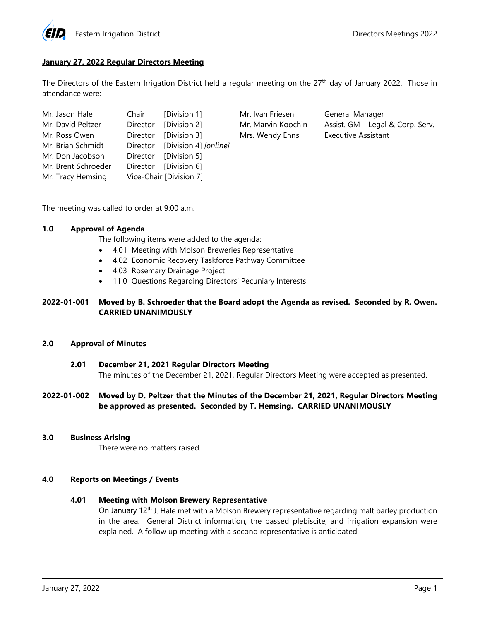

## **January 27, 2022 Regular Directors Meeting**

The Directors of the Eastern Irrigation District held a regular meeting on the 27<sup>th</sup> day of January 2022. Those in attendance were:

| Mr. Jason Hale      | Chair [Division 1]             |
|---------------------|--------------------------------|
| Mr. David Peltzer   | Director [Division 2]          |
| Mr. Ross Owen       | Director [Division 3]          |
| Mr. Brian Schmidt   | Director [Division 4] [online] |
| Mr. Don Jacobson    | Director [Division 5]          |
| Mr. Brent Schroeder | Director [Division 6]          |
| Mr. Tracy Hemsing   | Vice-Chair [Division 7]        |

Mr. Ivan Friesen General Manager Mrs. Wendy Enns Executive Assistant

Mr. Marvin Koochin Assist. GM – Legal & Corp. Serv.

The meeting was called to order at 9:00 a.m.

# **1.0 Approval of Agenda**

The following items were added to the agenda:

- 4.01 Meeting with Molson Breweries Representative
- 4.02 Economic Recovery Taskforce Pathway Committee
- 4.03 Rosemary Drainage Project
- 11.0 Questions Regarding Directors' Pecuniary Interests

## **2022-01-001 Moved by B. Schroeder that the Board adopt the Agenda as revised. Seconded by R. Owen. CARRIED UNANIMOUSLY**

#### **2.0 Approval of Minutes**

**2.01 December 21, 2021 Regular Directors Meeting** The minutes of the December 21, 2021, Regular Directors Meeting were accepted as presented.

## **2022-01-002 Moved by D. Peltzer that the Minutes of the December 21, 2021, Regular Directors Meeting be approved as presented. Seconded by T. Hemsing. CARRIED UNANIMOUSLY**

#### **3.0 Business Arising**

There were no matters raised.

## **4.0 Reports on Meetings / Events**

# **4.01 Meeting with Molson Brewery Representative**

On January 12th J. Hale met with a Molson Brewery representative regarding malt barley production in the area. General District information, the passed plebiscite, and irrigation expansion were explained. A follow up meeting with a second representative is anticipated.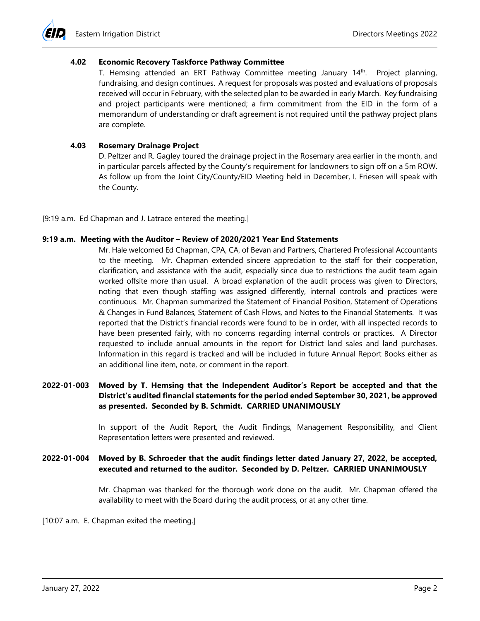#### **4.02 Economic Recovery Taskforce Pathway Committee**

T. Hemsing attended an ERT Pathway Committee meeting January 14th. Project planning, fundraising, and design continues. A request for proposals was posted and evaluations of proposals received will occur in February, with the selected plan to be awarded in early March. Key fundraising and project participants were mentioned; a firm commitment from the EID in the form of a memorandum of understanding or draft agreement is not required until the pathway project plans are complete.

#### **4.03 Rosemary Drainage Project**

D. Peltzer and R. Gagley toured the drainage project in the Rosemary area earlier in the month, and in particular parcels affected by the County's requirement for landowners to sign off on a 5m ROW. As follow up from the Joint City/County/EID Meeting held in December, I. Friesen will speak with the County.

[9:19 a.m. Ed Chapman and J. Latrace entered the meeting.]

#### **9:19 a.m. Meeting with the Auditor – Review of 2020/2021 Year End Statements**

Mr. Hale welcomed Ed Chapman, CPA, CA, of Bevan and Partners, Chartered Professional Accountants to the meeting. Mr. Chapman extended sincere appreciation to the staff for their cooperation, clarification, and assistance with the audit, especially since due to restrictions the audit team again worked offsite more than usual. A broad explanation of the audit process was given to Directors, noting that even though staffing was assigned differently, internal controls and practices were continuous. Mr. Chapman summarized the Statement of Financial Position, Statement of Operations & Changes in Fund Balances, Statement of Cash Flows, and Notes to the Financial Statements. It was reported that the District's financial records were found to be in order, with all inspected records to have been presented fairly, with no concerns regarding internal controls or practices. A Director requested to include annual amounts in the report for District land sales and land purchases. Information in this regard is tracked and will be included in future Annual Report Books either as an additional line item, note, or comment in the report.

# **2022-01-003 Moved by T. Hemsing that the Independent Auditor's Report be accepted and that the District's audited financial statements for the period ended September 30, 2021, be approved as presented. Seconded by B. Schmidt. CARRIED UNANIMOUSLY**

In support of the Audit Report, the Audit Findings, Management Responsibility, and Client Representation letters were presented and reviewed.

## **2022-01-004 Moved by B. Schroeder that the audit findings letter dated January 27, 2022, be accepted, executed and returned to the auditor. Seconded by D. Peltzer. CARRIED UNANIMOUSLY**

Mr. Chapman was thanked for the thorough work done on the audit. Mr. Chapman offered the availability to meet with the Board during the audit process, or at any other time.

[10:07 a.m. E. Chapman exited the meeting.]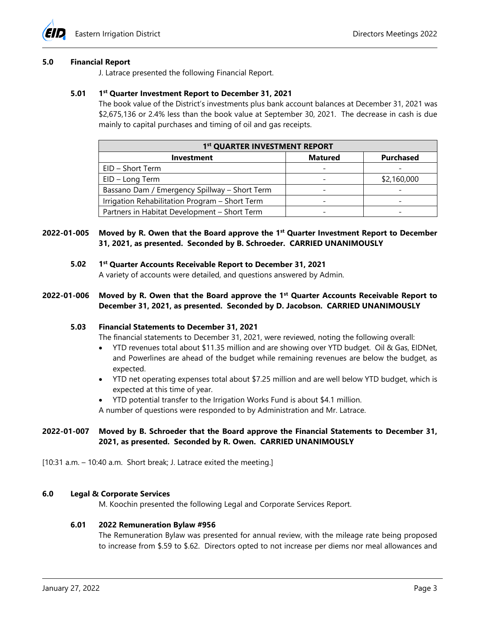

#### **5.0 Financial Report**

J. Latrace presented the following Financial Report.

#### **5.01 1st Quarter Investment Report to December 31, 2021**

The book value of the District's investments plus bank account balances at December 31, 2021 was \$2,675,136 or 2.4% less than the book value at September 30, 2021. The decrease in cash is due mainly to capital purchases and timing of oil and gas receipts.

| 1st QUARTER INVESTMENT REPORT                  |                |                  |  |  |
|------------------------------------------------|----------------|------------------|--|--|
| <b>Investment</b>                              | <b>Matured</b> | <b>Purchased</b> |  |  |
| EID - Short Term                               |                |                  |  |  |
| EID - Long Term                                |                | \$2,160,000      |  |  |
| Bassano Dam / Emergency Spillway - Short Term  |                |                  |  |  |
| Irrigation Rehabilitation Program - Short Term |                |                  |  |  |
| Partners in Habitat Development - Short Term   |                |                  |  |  |

## **2022-01-005 Moved by R. Owen that the Board approve the 1st Quarter Investment Report to December 31, 2021, as presented. Seconded by B. Schroeder. CARRIED UNANIMOUSLY**

**5.02 1st Quarter Accounts Receivable Report to December 31, 2021**

A variety of accounts were detailed, and questions answered by Admin.

## **2022-01-006 Moved by R. Owen that the Board approve the 1st Quarter Accounts Receivable Report to December 31, 2021, as presented. Seconded by D. Jacobson. CARRIED UNANIMOUSLY**

#### **5.03 Financial Statements to December 31, 2021**

The financial statements to December 31, 2021, were reviewed, noting the following overall:

- YTD revenues total about \$11.35 million and are showing over YTD budget. Oil & Gas, EIDNet, and Powerlines are ahead of the budget while remaining revenues are below the budget, as expected.
- YTD net operating expenses total about \$7.25 million and are well below YTD budget, which is expected at this time of year.
- YTD potential transfer to the Irrigation Works Fund is about \$4.1 million.
- A number of questions were responded to by Administration and Mr. Latrace.

# **2022-01-007 Moved by B. Schroeder that the Board approve the Financial Statements to December 31, 2021, as presented. Seconded by R. Owen. CARRIED UNANIMOUSLY**

 $[10:31$  a.m.  $-10:40$  a.m. Short break; J. Latrace exited the meeting.]

## **6.0 Legal & Corporate Services**

M. Koochin presented the following Legal and Corporate Services Report.

#### **6.01 2022 Remuneration Bylaw #956**

The Remuneration Bylaw was presented for annual review, with the mileage rate being proposed to increase from \$.59 to \$.62. Directors opted to not increase per diems nor meal allowances and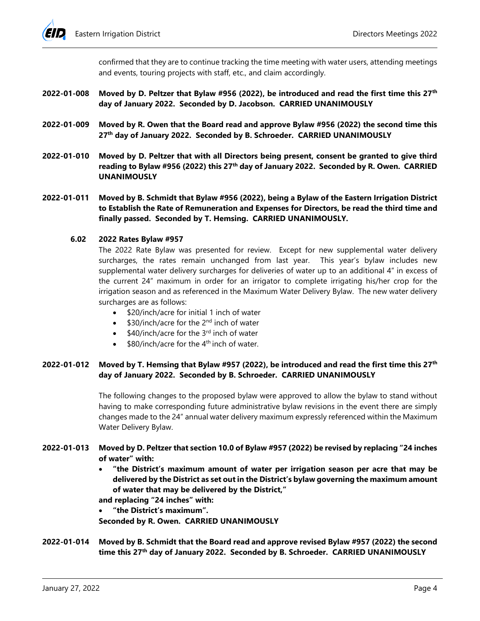confirmed that they are to continue tracking the time meeting with water users, attending meetings and events, touring projects with staff, etc., and claim accordingly.

- **2022-01-008 Moved by D. Peltzer that Bylaw #956 (2022), be introduced and read the first time this 27th day of January 2022. Seconded by D. Jacobson. CARRIED UNANIMOUSLY**
- **2022-01-009 Moved by R. Owen that the Board read and approve Bylaw #956 (2022) the second time this 27th day of January 2022. Seconded by B. Schroeder. CARRIED UNANIMOUSLY**
- **2022-01-010 Moved by D. Peltzer that with all Directors being present, consent be granted to give third reading to Bylaw #956 (2022) this 27th day of January 2022. Seconded by R. Owen. CARRIED UNANIMOUSLY**
- **2022-01-011 Moved by B. Schmidt that Bylaw #956 (2022), being a Bylaw of the Eastern Irrigation District to Establish the Rate of Remuneration and Expenses for Directors, be read the third time and finally passed. Seconded by T. Hemsing. CARRIED UNANIMOUSLY.**

## **6.02 2022 Rates Bylaw #957**

The 2022 Rate Bylaw was presented for review. Except for new supplemental water delivery surcharges, the rates remain unchanged from last year. This year's bylaw includes new supplemental water delivery surcharges for deliveries of water up to an additional 4" in excess of the current 24" maximum in order for an irrigator to complete irrigating his/her crop for the irrigation season and as referenced in the Maximum Water Delivery Bylaw. The new water delivery surcharges are as follows:

- \$20/inch/acre for initial 1 inch of water
- \$30/inch/acre for the 2<sup>nd</sup> inch of water
- $\bullet$  \$40/inch/acre for the 3<sup>rd</sup> inch of water
- \$80/inch/acre for the  $4<sup>th</sup>$  inch of water.

# **2022-01-012 Moved by T. Hemsing that Bylaw #957 (2022), be introduced and read the first time this 27th day of January 2022. Seconded by B. Schroeder. CARRIED UNANIMOUSLY**

The following changes to the proposed bylaw were approved to allow the bylaw to stand without having to make corresponding future administrative bylaw revisions in the event there are simply changes made to the 24" annual water delivery maximum expressly referenced within the Maximum Water Delivery Bylaw.

# **2022-01-013 Moved by D. Peltzer that section 10.0 of Bylaw #957 (2022) be revised by replacing "24 inches of water" with:**

• **"the District's maximum amount of water per irrigation season per acre that may be delivered by the District as set out in the District's bylaw governing the maximum amount of water that may be delivered by the District,"**

**and replacing "24 inches" with:**

• **"the District's maximum".**

**Seconded by R. Owen. CARRIED UNANIMOUSLY**

**2022-01-014 Moved by B. Schmidt that the Board read and approve revised Bylaw #957 (2022) the second time this 27th day of January 2022. Seconded by B. Schroeder. CARRIED UNANIMOUSLY**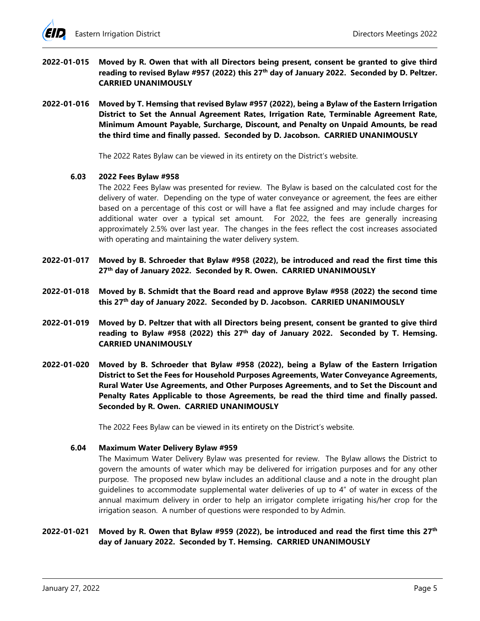- **2022-01-015 Moved by R. Owen that with all Directors being present, consent be granted to give third**  reading to revised Bylaw #957 (2022) this 27<sup>th</sup> day of January 2022. Seconded by D. Peltzer. **CARRIED UNANIMOUSLY**
- **2022-01-016 Moved by T. Hemsing that revised Bylaw #957 (2022), being a Bylaw of the Eastern Irrigation District to Set the Annual Agreement Rates, Irrigation Rate, Terminable Agreement Rate, Minimum Amount Payable, Surcharge, Discount, and Penalty on Unpaid Amounts, be read the third time and finally passed. Seconded by D. Jacobson. CARRIED UNANIMOUSLY**

The 2022 Rates Bylaw can be viewed in its entirety on the District's website.

## **6.03 2022 Fees Bylaw #958**

The 2022 Fees Bylaw was presented for review. The Bylaw is based on the calculated cost for the delivery of water. Depending on the type of water conveyance or agreement, the fees are either based on a percentage of this cost or will have a flat fee assigned and may include charges for additional water over a typical set amount. For 2022, the fees are generally increasing approximately 2.5% over last year. The changes in the fees reflect the cost increases associated with operating and maintaining the water delivery system.

- **2022-01-017 Moved by B. Schroeder that Bylaw #958 (2022), be introduced and read the first time this 27th day of January 2022. Seconded by R. Owen. CARRIED UNANIMOUSLY**
- **2022-01-018 Moved by B. Schmidt that the Board read and approve Bylaw #958 (2022) the second time this 27th day of January 2022. Seconded by D. Jacobson. CARRIED UNANIMOUSLY**
- **2022-01-019 Moved by D. Peltzer that with all Directors being present, consent be granted to give third**  reading to Bylaw #958 (2022) this 27<sup>th</sup> day of January 2022. Seconded by T. Hemsing. **CARRIED UNANIMOUSLY**
- **2022-01-020 Moved by B. Schroeder that Bylaw #958 (2022), being a Bylaw of the Eastern Irrigation District to Set the Fees for Household Purposes Agreements, Water Conveyance Agreements, Rural Water Use Agreements, and Other Purposes Agreements, and to Set the Discount and Penalty Rates Applicable to those Agreements, be read the third time and finally passed. Seconded by R. Owen. CARRIED UNANIMOUSLY**

The 2022 Fees Bylaw can be viewed in its entirety on the District's website.

#### **6.04 Maximum Water Delivery Bylaw #959**

The Maximum Water Delivery Bylaw was presented for review. The Bylaw allows the District to govern the amounts of water which may be delivered for irrigation purposes and for any other purpose. The proposed new bylaw includes an additional clause and a note in the drought plan guidelines to accommodate supplemental water deliveries of up to 4" of water in excess of the annual maximum delivery in order to help an irrigator complete irrigating his/her crop for the irrigation season. A number of questions were responded to by Admin.

## **2022-01-021 Moved by R. Owen that Bylaw #959 (2022), be introduced and read the first time this 27th day of January 2022. Seconded by T. Hemsing. CARRIED UNANIMOUSLY**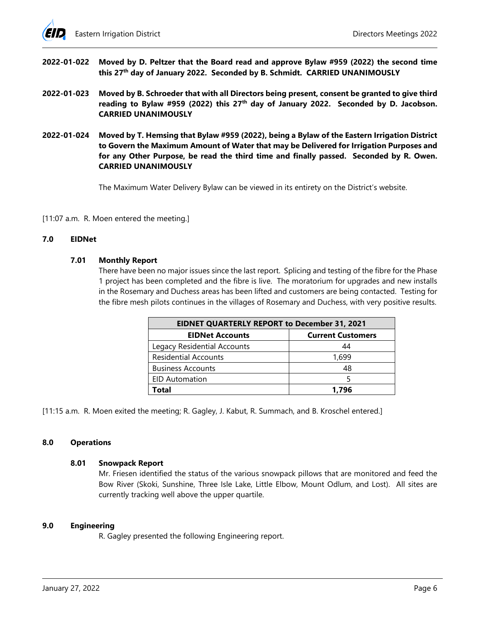

- **2022-01-022 Moved by D. Peltzer that the Board read and approve Bylaw #959 (2022) the second time this 27th day of January 2022. Seconded by B. Schmidt. CARRIED UNANIMOUSLY**
- **2022-01-023 Moved by B. Schroeder that with all Directors being present, consent be granted to give third**  reading to Bylaw #959 (2022) this 27<sup>th</sup> day of January 2022. Seconded by D. Jacobson. **CARRIED UNANIMOUSLY**
- **2022-01-024 Moved by T. Hemsing that Bylaw #959 (2022), being a Bylaw of the Eastern Irrigation District to Govern the Maximum Amount of Water that may be Delivered for Irrigation Purposes and for any Other Purpose, be read the third time and finally passed. Seconded by R. Owen. CARRIED UNANIMOUSLY**

The Maximum Water Delivery Bylaw can be viewed in its entirety on the District's website.

[11:07 a.m. R. Moen entered the meeting.]

#### **7.0 EIDNet**

#### **7.01 Monthly Report**

There have been no major issues since the last report. Splicing and testing of the fibre for the Phase 1 project has been completed and the fibre is live. The moratorium for upgrades and new installs in the Rosemary and Duchess areas has been lifted and customers are being contacted. Testing for the fibre mesh pilots continues in the villages of Rosemary and Duchess, with very positive results.

| <b>EIDNET QUARTERLY REPORT to December 31, 2021</b> |                          |  |  |
|-----------------------------------------------------|--------------------------|--|--|
| <b>EIDNet Accounts</b>                              | <b>Current Customers</b> |  |  |
| Legacy Residential Accounts                         | 44                       |  |  |
| <b>Residential Accounts</b>                         | 1.699                    |  |  |
| <b>Business Accounts</b>                            | 48                       |  |  |
| <b>EID Automation</b>                               |                          |  |  |
| Total                                               | 1.796                    |  |  |

[11:15 a.m. R. Moen exited the meeting; R. Gagley, J. Kabut, R. Summach, and B. Kroschel entered.]

#### **8.0 Operations**

#### **8.01 Snowpack Report**

Mr. Friesen identified the status of the various snowpack pillows that are monitored and feed the Bow River (Skoki, Sunshine, Three Isle Lake, Little Elbow, Mount Odlum, and Lost). All sites are currently tracking well above the upper quartile.

#### **9.0 Engineering**

R. Gagley presented the following Engineering report.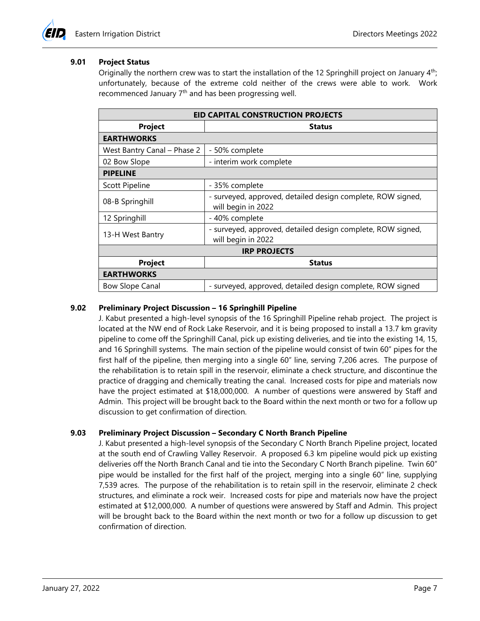# **9.01 Project Status**

Originally the northern crew was to start the installation of the 12 Springhill project on January 4th; unfortunately, because of the extreme cold neither of the crews were able to work. Work recommenced January  $7<sup>th</sup>$  and has been progressing well.

| <b>EID CAPITAL CONSTRUCTION PROJECTS</b> |                                                                                   |  |  |
|------------------------------------------|-----------------------------------------------------------------------------------|--|--|
| <b>Project</b>                           | <b>Status</b>                                                                     |  |  |
| <b>EARTHWORKS</b>                        |                                                                                   |  |  |
| West Bantry Canal - Phase 2              | - 50% complete                                                                    |  |  |
| 02 Bow Slope                             | - interim work complete                                                           |  |  |
| <b>PIPELINE</b>                          |                                                                                   |  |  |
| <b>Scott Pipeline</b>                    | - 35% complete                                                                    |  |  |
| 08-B Springhill                          | - surveyed, approved, detailed design complete, ROW signed,<br>will begin in 2022 |  |  |
| 12 Springhill                            | - 40% complete                                                                    |  |  |
| 13-H West Bantry                         | - surveyed, approved, detailed design complete, ROW signed,<br>will begin in 2022 |  |  |
| <b>IRP PROJECTS</b>                      |                                                                                   |  |  |
| <b>Project</b>                           | <b>Status</b>                                                                     |  |  |
| <b>EARTHWORKS</b>                        |                                                                                   |  |  |
| <b>Bow Slope Canal</b>                   | - surveyed, approved, detailed design complete, ROW signed                        |  |  |

## **9.02 Preliminary Project Discussion – 16 Springhill Pipeline**

J. Kabut presented a high-level synopsis of the 16 Springhill Pipeline rehab project. The project is located at the NW end of Rock Lake Reservoir, and it is being proposed to install a 13.7 km gravity pipeline to come off the Springhill Canal, pick up existing deliveries, and tie into the existing 14, 15, and 16 Springhill systems. The main section of the pipeline would consist of twin 60" pipes for the first half of the pipeline, then merging into a single 60" line, serving 7,206 acres. The purpose of the rehabilitation is to retain spill in the reservoir, eliminate a check structure, and discontinue the practice of dragging and chemically treating the canal. Increased costs for pipe and materials now have the project estimated at \$18,000,000. A number of questions were answered by Staff and Admin. This project will be brought back to the Board within the next month or two for a follow up discussion to get confirmation of direction.

## **9.03 Preliminary Project Discussion – Secondary C North Branch Pipeline**

J. Kabut presented a high-level synopsis of the Secondary C North Branch Pipeline project, located at the south end of Crawling Valley Reservoir. A proposed 6.3 km pipeline would pick up existing deliveries off the North Branch Canal and tie into the Secondary C North Branch pipeline. Twin 60" pipe would be installed for the first half of the project, merging into a single 60" line, supplying 7,539 acres. The purpose of the rehabilitation is to retain spill in the reservoir, eliminate 2 check structures, and eliminate a rock weir. Increased costs for pipe and materials now have the project estimated at \$12,000,000. A number of questions were answered by Staff and Admin. This project will be brought back to the Board within the next month or two for a follow up discussion to get confirmation of direction.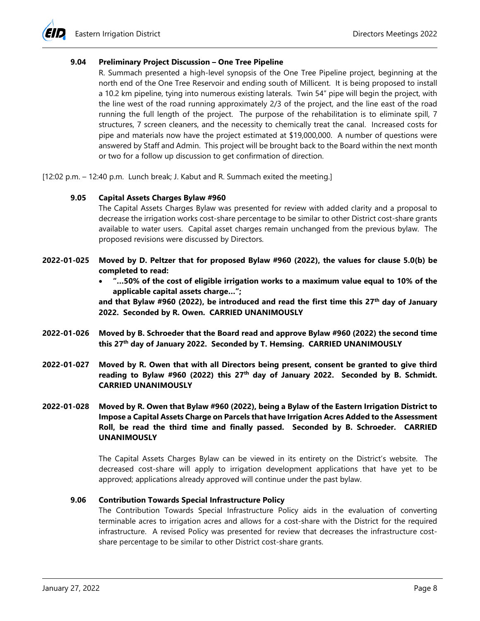#### **9.04 Preliminary Project Discussion – One Tree Pipeline**

R. Summach presented a high-level synopsis of the One Tree Pipeline project, beginning at the north end of the One Tree Reservoir and ending south of Millicent. It is being proposed to install a 10.2 km pipeline, tying into numerous existing laterals. Twin 54" pipe will begin the project, with the line west of the road running approximately 2/3 of the project, and the line east of the road running the full length of the project. The purpose of the rehabilitation is to eliminate spill, 7 structures, 7 screen cleaners, and the necessity to chemically treat the canal. Increased costs for pipe and materials now have the project estimated at \$19,000,000. A number of questions were answered by Staff and Admin. This project will be brought back to the Board within the next month or two for a follow up discussion to get confirmation of direction.

[12:02 p.m. – 12:40 p.m. Lunch break; J. Kabut and R. Summach exited the meeting.]

#### **9.05 Capital Assets Charges Bylaw #960**

The Capital Assets Charges Bylaw was presented for review with added clarity and a proposal to decrease the irrigation works cost-share percentage to be similar to other District cost-share grants available to water users. Capital asset charges remain unchanged from the previous bylaw. The proposed revisions were discussed by Directors.

- **2022-01-025 Moved by D. Peltzer that for proposed Bylaw #960 (2022), the values for clause 5.0(b) be completed to read:**
	- **"…50% of the cost of eligible irrigation works to a maximum value equal to 10% of the applicable capital assets charge…";**

**and that Bylaw #960 (2022), be introduced and read the first time this 27th day of January 2022. Seconded by R. Owen. CARRIED UNANIMOUSLY**

- **2022-01-026 Moved by B. Schroeder that the Board read and approve Bylaw #960 (2022) the second time this 27th day of January 2022. Seconded by T. Hemsing. CARRIED UNANIMOUSLY**
- **2022-01-027 Moved by R. Owen that with all Directors being present, consent be granted to give third reading to Bylaw #960 (2022) this 27th day of January 2022. Seconded by B. Schmidt. CARRIED UNANIMOUSLY**
- **2022-01-028 Moved by R. Owen that Bylaw #960 (2022), being a Bylaw of the Eastern Irrigation District to Impose a Capital Assets Charge on Parcels that have Irrigation Acres Added to the Assessment Roll, be read the third time and finally passed. Seconded by B. Schroeder. CARRIED UNANIMOUSLY**

The Capital Assets Charges Bylaw can be viewed in its entirety on the District's website. The decreased cost-share will apply to irrigation development applications that have yet to be approved; applications already approved will continue under the past bylaw.

# **9.06 Contribution Towards Special Infrastructure Policy**

The Contribution Towards Special Infrastructure Policy aids in the evaluation of converting terminable acres to irrigation acres and allows for a cost-share with the District for the required infrastructure. A revised Policy was presented for review that decreases the infrastructure costshare percentage to be similar to other District cost-share grants.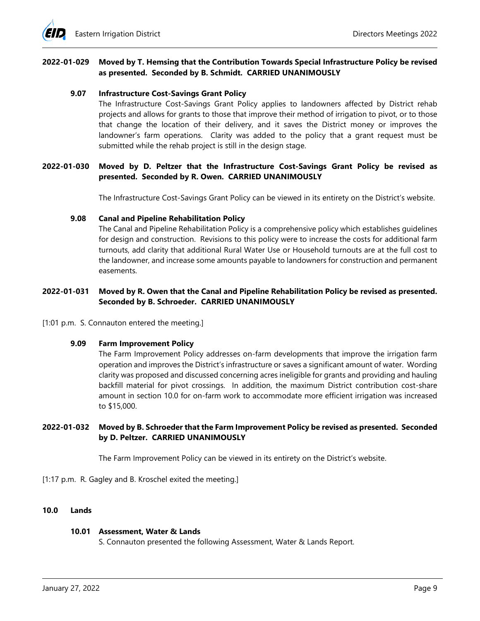

## **2022-01-029 Moved by T. Hemsing that the Contribution Towards Special Infrastructure Policy be revised as presented. Seconded by B. Schmidt. CARRIED UNANIMOUSLY**

#### **9.07 Infrastructure Cost-Savings Grant Policy**

The Infrastructure Cost-Savings Grant Policy applies to landowners affected by District rehab projects and allows for grants to those that improve their method of irrigation to pivot, or to those that change the location of their delivery, and it saves the District money or improves the landowner's farm operations. Clarity was added to the policy that a grant request must be submitted while the rehab project is still in the design stage.

## **2022-01-030 Moved by D. Peltzer that the Infrastructure Cost-Savings Grant Policy be revised as presented. Seconded by R. Owen. CARRIED UNANIMOUSLY**

The Infrastructure Cost-Savings Grant Policy can be viewed in its entirety on the District's website.

#### **9.08 Canal and Pipeline Rehabilitation Policy**

The Canal and Pipeline Rehabilitation Policy is a comprehensive policy which establishes guidelines for design and construction. Revisions to this policy were to increase the costs for additional farm turnouts, add clarity that additional Rural Water Use or Household turnouts are at the full cost to the landowner, and increase some amounts payable to landowners for construction and permanent easements.

## **2022-01-031 Moved by R. Owen that the Canal and Pipeline Rehabilitation Policy be revised as presented. Seconded by B. Schroeder. CARRIED UNANIMOUSLY**

[1:01 p.m. S. Connauton entered the meeting.]

#### **9.09 Farm Improvement Policy**

The Farm Improvement Policy addresses on-farm developments that improve the irrigation farm operation and improves the District's infrastructure or saves a significant amount of water. Wording clarity was proposed and discussed concerning acres ineligible for grants and providing and hauling backfill material for pivot crossings. In addition, the maximum District contribution cost-share amount in section 10.0 for on-farm work to accommodate more efficient irrigation was increased to \$15,000.

## **2022-01-032 Moved by B. Schroeder that the Farm Improvement Policy be revised as presented. Seconded by D. Peltzer. CARRIED UNANIMOUSLY**

The Farm Improvement Policy can be viewed in its entirety on the District's website.

[1:17 p.m. R. Gagley and B. Kroschel exited the meeting.]

## **10.0 Lands**

#### **10.01 Assessment, Water & Lands**

S. Connauton presented the following Assessment, Water & Lands Report.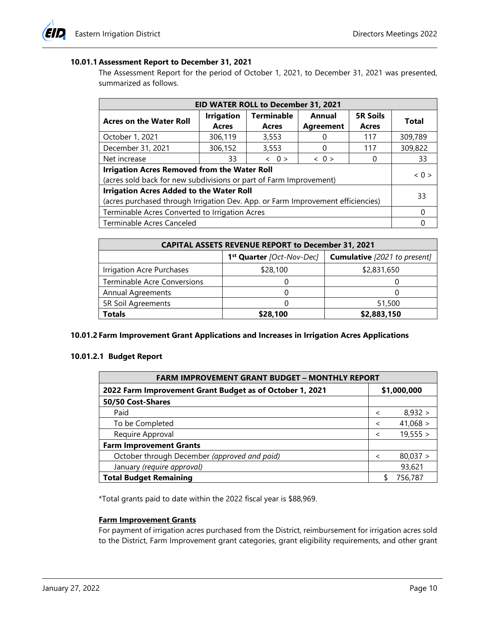# **10.01.1 Assessment Report to December 31, 2021**

The Assessment Report for the period of October 1, 2021, to December 31, 2021 was presented, summarized as follows.

| EID WATER ROLL to December 31, 2021                                                                                                |                            |                            |                            |                          |         |
|------------------------------------------------------------------------------------------------------------------------------------|----------------------------|----------------------------|----------------------------|--------------------------|---------|
| <b>Acres on the Water Roll</b>                                                                                                     | <b>Irrigation</b><br>Acres | <b>Terminable</b><br>Acres | Annual<br><b>Agreement</b> | <b>5R Soils</b><br>Acres | Total   |
| October 1, 2021                                                                                                                    | 306,119                    | 3,553                      |                            | 117                      | 309,789 |
| December 31, 2021                                                                                                                  | 306,152                    | 3,553                      |                            | 117                      | 309,822 |
| Net increase                                                                                                                       | 33                         | $\langle 0 \rangle$        | $\langle 0 \rangle$        |                          | 33      |
| <b>Irrigation Acres Removed from the Water Roll</b><br>(acres sold back for new subdivisions or part of Farm Improvement)          |                            |                            |                            | < 0                      |         |
| <b>Irrigation Acres Added to the Water Roll</b><br>(acres purchased through Irrigation Dev. App. or Farm Improvement efficiencies) |                            |                            |                            | 33                       |         |
| Terminable Acres Converted to Irrigation Acres                                                                                     |                            |                            |                            |                          |         |
| Terminable Acres Canceled                                                                                                          |                            |                            |                            |                          |         |

| <b>CAPITAL ASSETS REVENUE REPORT to December 31, 2021</b> |                                       |                                     |  |
|-----------------------------------------------------------|---------------------------------------|-------------------------------------|--|
|                                                           | 1 <sup>st</sup> Quarter [Oct-Nov-Dec] | <b>Cumulative</b> [2021 to present] |  |
| Irrigation Acre Purchases                                 | \$28,100                              | \$2,831,650                         |  |
| <b>Terminable Acre Conversions</b>                        |                                       |                                     |  |
| <b>Annual Agreements</b>                                  |                                       |                                     |  |
| 5R Soil Agreements                                        |                                       | 51,500                              |  |
| Totals                                                    | \$28,100                              | \$2,883,150                         |  |

## **10.01.2 Farm Improvement Grant Applications and Increases in Irrigation Acres Applications**

## **10.01.2.1 Budget Report**

| <b>FARM IMPROVEMENT GRANT BUDGET - MONTHLY REPORT</b>    |                          |          |  |  |
|----------------------------------------------------------|--------------------------|----------|--|--|
| 2022 Farm Improvement Grant Budget as of October 1, 2021 | \$1,000,000              |          |  |  |
| 50/50 Cost-Shares                                        |                          |          |  |  |
| Paid                                                     | $\,<\,$                  | 8,932 >  |  |  |
| To be Completed                                          | $\overline{\phantom{a}}$ | 41,068 > |  |  |
| Require Approval                                         | $\overline{\phantom{a}}$ | 19,555 > |  |  |
| <b>Farm Improvement Grants</b>                           |                          |          |  |  |
| October through December (approved and paid)             | $\prec$                  | 80,037 > |  |  |
| January (require approval)                               |                          | 93,621   |  |  |
| <b>Total Budget Remaining</b>                            |                          | 756,787  |  |  |

\*Total grants paid to date within the 2022 fiscal year is \$88,969.

## **Farm Improvement Grants**

For payment of irrigation acres purchased from the District, reimbursement for irrigation acres sold to the District, Farm Improvement grant categories, grant eligibility requirements, and other grant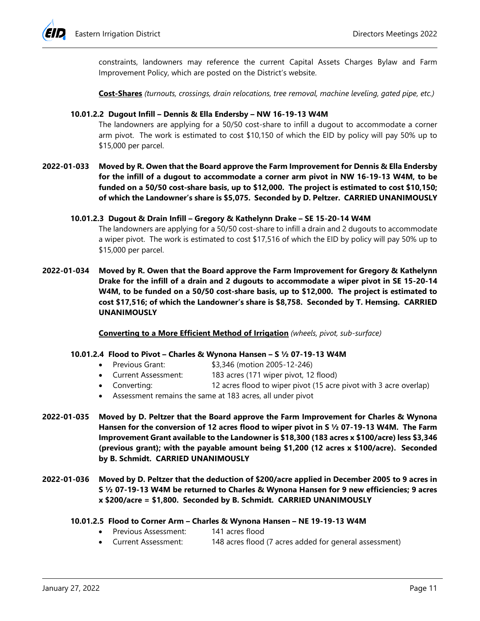

constraints, landowners may reference the current Capital Assets Charges Bylaw and Farm Improvement Policy, which are posted on the District's website.

**Cost-Shares** *(turnouts, crossings, drain relocations, tree removal, machine leveling, gated pipe, etc.)*

#### **10.01.2.2 Dugout Infill – Dennis & Ella Endersby – NW 16-19-13 W4M**

The landowners are applying for a 50/50 cost-share to infill a dugout to accommodate a corner arm pivot. The work is estimated to cost \$10,150 of which the EID by policy will pay 50% up to \$15,000 per parcel.

**2022-01-033 Moved by R. Owen that the Board approve the Farm Improvement for Dennis & Ella Endersby for the infill of a dugout to accommodate a corner arm pivot in NW 16-19-13 W4M, to be funded on a 50/50 cost-share basis, up to \$12,000. The project is estimated to cost \$10,150; of which the Landowner's share is \$5,075. Seconded by D. Peltzer. CARRIED UNANIMOUSLY**

#### **10.01.2.3 Dugout & Drain Infill – Gregory & Kathelynn Drake – SE 15-20-14 W4M**

The landowners are applying for a 50/50 cost-share to infill a drain and 2 dugouts to accommodate a wiper pivot. The work is estimated to cost \$17,516 of which the EID by policy will pay 50% up to \$15,000 per parcel.

**2022-01-034 Moved by R. Owen that the Board approve the Farm Improvement for Gregory & Kathelynn Drake for the infill of a drain and 2 dugouts to accommodate a wiper pivot in SE 15-20-14 W4M, to be funded on a 50/50 cost-share basis, up to \$12,000. The project is estimated to cost \$17,516; of which the Landowner's share is \$8,758. Seconded by T. Hemsing. CARRIED UNANIMOUSLY**

**Converting to a More Efficient Method of Irrigation** *(wheels, pivot, sub-surface)*

#### **10.01.2.4 Flood to Pivot – Charles & Wynona Hansen – S ½ 07-19-13 W4M**

- Previous Grant: \$3,346 (motion 2005-12-246)
- Current Assessment: 183 acres (171 wiper pivot, 12 flood)
- Converting: 12 acres flood to wiper pivot (15 acre pivot with 3 acre overlap)
- Assessment remains the same at 183 acres, all under pivot
- **2022-01-035 Moved by D. Peltzer that the Board approve the Farm Improvement for Charles & Wynona Hansen for the conversion of 12 acres flood to wiper pivot in S ½ 07-19-13 W4M. The Farm Improvement Grant available to the Landowner is \$18,300 (183 acres x \$100/acre) less \$3,346 (previous grant); with the payable amount being \$1,200 (12 acres x \$100/acre). Seconded by B. Schmidt. CARRIED UNANIMOUSLY**
- **2022-01-036 Moved by D. Peltzer that the deduction of \$200/acre applied in December 2005 to 9 acres in S ½ 07-19-13 W4M be returned to Charles & Wynona Hansen for 9 new efficiencies; 9 acres x \$200/acre = \$1,800. Seconded by B. Schmidt. CARRIED UNANIMOUSLY**

## **10.01.2.5 Flood to Corner Arm – Charles & Wynona Hansen – NE 19-19-13 W4M**

- Previous Assessment: 141 acres flood
- Current Assessment: 148 acres flood (7 acres added for general assessment)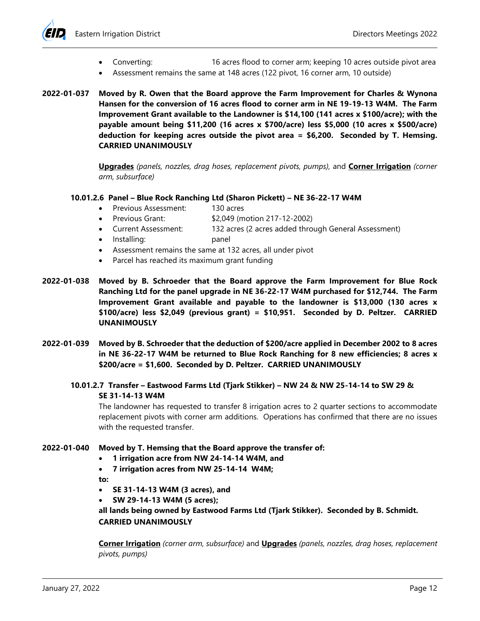

- Converting: 16 acres flood to corner arm; keeping 10 acres outside pivot area
- Assessment remains the same at 148 acres (122 pivot, 16 corner arm, 10 outside)
- **2022-01-037 Moved by R. Owen that the Board approve the Farm Improvement for Charles & Wynona Hansen for the conversion of 16 acres flood to corner arm in NE 19-19-13 W4M. The Farm Improvement Grant available to the Landowner is \$14,100 (141 acres x \$100/acre); with the payable amount being \$11,200 (16 acres x \$700/acre) less \$5,000 (10 acres x \$500/acre) deduction for keeping acres outside the pivot area = \$6,200. Seconded by T. Hemsing. CARRIED UNANIMOUSLY**

**Upgrades** *(panels, nozzles, drag hoses, replacement pivots, pumps),* and **Corner Irrigation** *(corner arm, subsurface)*

## **10.01.2.6 Panel – Blue Rock Ranching Ltd (Sharon Pickett) – NE 36-22-17 W4M**

- Previous Assessment: 130 acres
- Previous Grant: \$2,049 (motion 217-12-2002)
- Current Assessment: 132 acres (2 acres added through General Assessment)
- Installing: panel
- Assessment remains the same at 132 acres, all under pivot
- Parcel has reached its maximum grant funding
- **2022-01-038 Moved by B. Schroeder that the Board approve the Farm Improvement for Blue Rock Ranching Ltd for the panel upgrade in NE 36-22-17 W4M purchased for \$12,744. The Farm Improvement Grant available and payable to the landowner is \$13,000 (130 acres x \$100/acre) less \$2,049 (previous grant) = \$10,951. Seconded by D. Peltzer. CARRIED UNANIMOUSLY**
- **2022-01-039 Moved by B. Schroeder that the deduction of \$200/acre applied in December 2002 to 8 acres in NE 36-22-17 W4M be returned to Blue Rock Ranching for 8 new efficiencies; 8 acres x \$200/acre = \$1,600. Seconded by D. Peltzer. CARRIED UNANIMOUSLY**
	- **10.01.2.7 Transfer – Eastwood Farms Ltd (Tjark Stikker) – NW 24 & NW 25-14-14 to SW 29 & SE 31-14-13 W4M**

The landowner has requested to transfer 8 irrigation acres to 2 quarter sections to accommodate replacement pivots with corner arm additions. Operations has confirmed that there are no issues with the requested transfer.

## **2022-01-040 Moved by T. Hemsing that the Board approve the transfer of:**

- **1 irrigation acre from NW 24-14-14 W4M, and**
- **7 irrigation acres from NW 25-14-14 W4M;**

**to:**

- **SE 31-14-13 W4M (3 acres), and**
- **SW 29-14-13 W4M (5 acres);**

**all lands being owned by Eastwood Farms Ltd (Tjark Stikker). Seconded by B. Schmidt. CARRIED UNANIMOUSLY**

**Corner Irrigation** *(corner arm, subsurface)* and **Upgrades** *(panels, nozzles, drag hoses, replacement pivots, pumps)*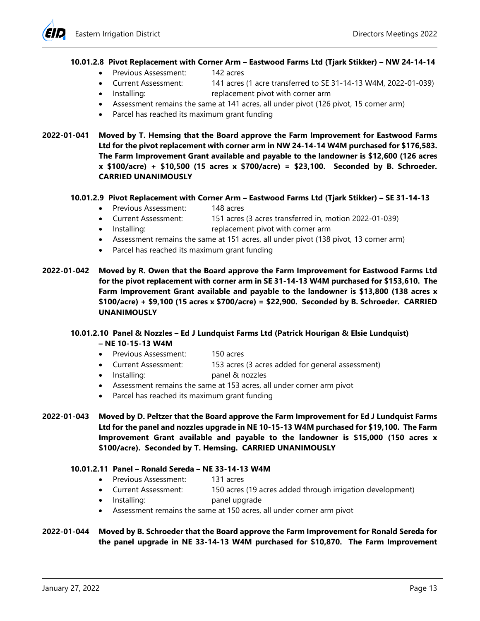#### **10.01.2.8 Pivot Replacement with Corner Arm – Eastwood Farms Ltd (Tjark Stikker) – NW 24-14-14**

- Previous Assessment: 142 acres
- Current Assessment: 141 acres (1 acre transferred to SE 31-14-13 W4M, 2022-01-039)
- Installing: replacement pivot with corner arm
- Assessment remains the same at 141 acres, all under pivot (126 pivot, 15 corner arm)
- Parcel has reached its maximum grant funding
- **2022-01-041 Moved by T. Hemsing that the Board approve the Farm Improvement for Eastwood Farms Ltd for the pivot replacement with corner arm in NW 24-14-14 W4M purchased for \$176,583. The Farm Improvement Grant available and payable to the landowner is \$12,600 (126 acres x \$100/acre) + \$10,500 (15 acres x \$700/acre) = \$23,100. Seconded by B. Schroeder. CARRIED UNANIMOUSLY**

#### **10.01.2.9 Pivot Replacement with Corner Arm – Eastwood Farms Ltd (Tjark Stikker) – SE 31-14-13**

- Previous Assessment: 148 acres
- Current Assessment: 151 acres (3 acres transferred in, motion 2022-01-039)
- Installing: replacement pivot with corner arm
- Assessment remains the same at 151 acres, all under pivot (138 pivot, 13 corner arm)
- Parcel has reached its maximum grant funding
- **2022-01-042 Moved by R. Owen that the Board approve the Farm Improvement for Eastwood Farms Ltd for the pivot replacement with corner arm in SE 31-14-13 W4M purchased for \$153,610. The Farm Improvement Grant available and payable to the landowner is \$13,800 (138 acres x \$100/acre) + \$9,100 (15 acres x \$700/acre) = \$22,900. Seconded by B. Schroeder. CARRIED UNANIMOUSLY**

# **10.01.2.10 Panel & Nozzles – Ed J Lundquist Farms Ltd (Patrick Hourigan & Elsie Lundquist)**

- **– NE 10-15-13 W4M**
- Previous Assessment: 150 acres
- Current Assessment: 153 acres (3 acres added for general assessment)
- Installing: panel & nozzles
- Assessment remains the same at 153 acres, all under corner arm pivot
- Parcel has reached its maximum grant funding
- **2022-01-043 Moved by D. Peltzer that the Board approve the Farm Improvement for Ed J Lundquist Farms Ltd for the panel and nozzles upgrade in NE 10-15-13 W4M purchased for \$19,100. The Farm Improvement Grant available and payable to the landowner is \$15,000 (150 acres x \$100/acre). Seconded by T. Hemsing. CARRIED UNANIMOUSLY**

#### **10.01.2.11 Panel – Ronald Sereda – NE 33-14-13 W4M**

- Previous Assessment: 131 acres
- Current Assessment: 150 acres (19 acres added through irrigation development)
- Installing: panel upgrade
- Assessment remains the same at 150 acres, all under corner arm pivot

# **2022-01-044 Moved by B. Schroeder that the Board approve the Farm Improvement for Ronald Sereda for the panel upgrade in NE 33-14-13 W4M purchased for \$10,870. The Farm Improvement**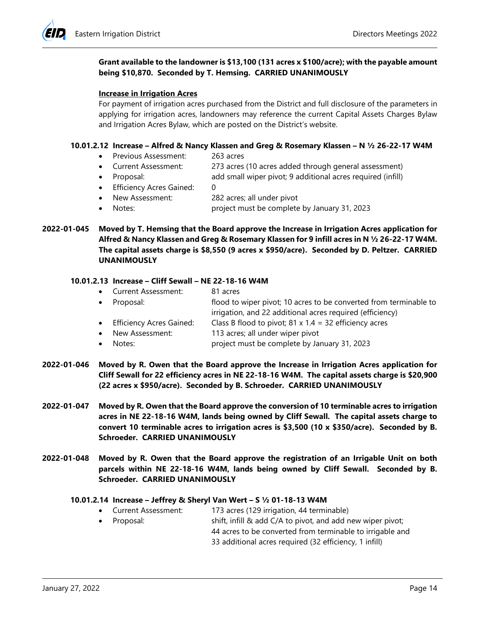## **Grant available to the landowner is \$13,100 (131 acres x \$100/acre); with the payable amount being \$10,870. Seconded by T. Hemsing. CARRIED UNANIMOUSLY**

#### **Increase in Irrigation Acres**

For payment of irrigation acres purchased from the District and full disclosure of the parameters in applying for irrigation acres, landowners may reference the current Capital Assets Charges Bylaw and Irrigation Acres Bylaw, which are posted on the District's website.

#### **10.01.2.12 Increase – Alfred & Nancy Klassen and Greg & Rosemary Klassen – N ½ 26-22-17 W4M**

- Previous Assessment: 263 acres
- Current Assessment: 273 acres (10 acres added through general assessment)
- Proposal: add small wiper pivot; 9 additional acres required (infill)
- Efficiency Acres Gained: 0
- New Assessment: 282 acres; all under pivot
- Notes: project must be complete by January 31, 2023

## **2022-01-045 Moved by T. Hemsing that the Board approve the Increase in Irrigation Acres application for Alfred & Nancy Klassen and Greg & Rosemary Klassen for 9 infill acres in N ½ 26-22-17 W4M. The capital assets charge is \$8,550 (9 acres x \$950/acre). Seconded by D. Peltzer. CARRIED UNANIMOUSLY**

#### **10.01.2.13 Increase – Cliff Sewall – NE 22-18-16 W4M**

- Current Assessment: 81 acres • Proposal: flood to wiper pivot; 10 acres to be converted from terminable to irrigation, and 22 additional acres required (efficiency) • Efficiency Acres Gained: Class B flood to pivot; 81 x 1.4 = 32 efficiency acres
- New Assessment: 113 acres; all under wiper pivot
- Notes: project must be complete by January 31, 2023
- **2022-01-046 Moved by R. Owen that the Board approve the Increase in Irrigation Acres application for Cliff Sewall for 22 efficiency acres in NE 22-18-16 W4M. The capital assets charge is \$20,900 (22 acres x \$950/acre). Seconded by B. Schroeder. CARRIED UNANIMOUSLY**
- **2022-01-047 Moved by R. Owen that the Board approve the conversion of 10 terminable acres to irrigation acres in NE 22-18-16 W4M, lands being owned by Cliff Sewall. The capital assets charge to convert 10 terminable acres to irrigation acres is \$3,500 (10 x \$350/acre). Seconded by B. Schroeder. CARRIED UNANIMOUSLY**
- **2022-01-048 Moved by R. Owen that the Board approve the registration of an Irrigable Unit on both parcels within NE 22-18-16 W4M, lands being owned by Cliff Sewall. Seconded by B. Schroeder. CARRIED UNANIMOUSLY**

#### **10.01.2.14 Increase – Jeffrey & Sheryl Van Wert – S ½ 01-18-13 W4M**

- Current Assessment: 173 acres (129 irrigation, 44 terminable)
- Proposal: shift, infill & add C/A to pivot, and add new wiper pivot;
	- 44 acres to be converted from terminable to irrigable and 33 additional acres required (32 efficiency, 1 infill)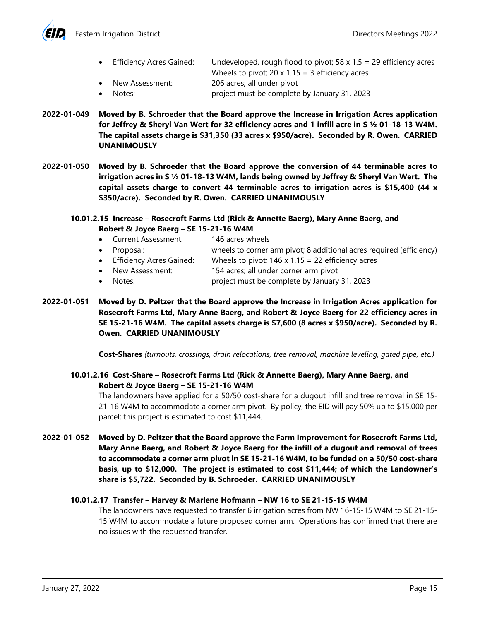

- Efficiency Acres Gained: Undeveloped, rough flood to pivot;  $58 \times 1.5 = 29$  efficiency acres Wheels to pivot; 20  $\times$  1.15 = 3 efficiency acres New Assessment: 206 acres; all under pivot
- Notes: project must be complete by January 31, 2023
- **2022-01-049 Moved by B. Schroeder that the Board approve the Increase in Irrigation Acres application for Jeffrey & Sheryl Van Wert for 32 efficiency acres and 1 infill acre in S ½ 01-18-13 W4M. The capital assets charge is \$31,350 (33 acres x \$950/acre). Seconded by R. Owen. CARRIED UNANIMOUSLY**
- **2022-01-050 Moved by B. Schroeder that the Board approve the conversion of 44 terminable acres to irrigation acres in S ½ 01-18-13 W4M, lands being owned by Jeffrey & Sheryl Van Wert. The capital assets charge to convert 44 terminable acres to irrigation acres is \$15,400 (44 x \$350/acre). Seconded by R. Owen. CARRIED UNANIMOUSLY**
	- **10.01.2.15 Increase – Rosecroft Farms Ltd (Rick & Annette Baerg), Mary Anne Baerg, and Robert & Joyce Baerg – SE 15-21-16 W4M**
		- Current Assessment: 146 acres wheels
		- Proposal: wheels to corner arm pivot; 8 additional acres required (efficiency)
		- Efficiency Acres Gained: Wheels to pivot; 146 x 1.15 = 22 efficiency acres
		- New Assessment: 154 acres; all under corner arm pivot
		- Notes: project must be complete by January 31, 2023
- **2022-01-051 Moved by D. Peltzer that the Board approve the Increase in Irrigation Acres application for Rosecroft Farms Ltd, Mary Anne Baerg, and Robert & Joyce Baerg for 22 efficiency acres in SE 15-21-16 W4M. The capital assets charge is \$7,600 (8 acres x \$950/acre). Seconded by R. Owen. CARRIED UNANIMOUSLY**

**Cost-Shares** *(turnouts, crossings, drain relocations, tree removal, machine leveling, gated pipe, etc.)*

**10.01.2.16 Cost-Share – Rosecroft Farms Ltd (Rick & Annette Baerg), Mary Anne Baerg, and Robert & Joyce Baerg – SE 15-21-16 W4M**

The landowners have applied for a 50/50 cost-share for a dugout infill and tree removal in SE 15- 21-16 W4M to accommodate a corner arm pivot. By policy, the EID will pay 50% up to \$15,000 per parcel; this project is estimated to cost \$11,444.

**2022-01-052 Moved by D. Peltzer that the Board approve the Farm Improvement for Rosecroft Farms Ltd, Mary Anne Baerg, and Robert & Joyce Baerg for the infill of a dugout and removal of trees to accommodate a corner arm pivot in SE 15-21-16 W4M, to be funded on a 50/50 cost-share basis, up to \$12,000. The project is estimated to cost \$11,444; of which the Landowner's share is \$5,722. Seconded by B. Schroeder. CARRIED UNANIMOUSLY**

## **10.01.2.17 Transfer – Harvey & Marlene Hofmann – NW 16 to SE 21-15-15 W4M**

The landowners have requested to transfer 6 irrigation acres from NW 16-15-15 W4M to SE 21-15- 15 W4M to accommodate a future proposed corner arm. Operations has confirmed that there are no issues with the requested transfer.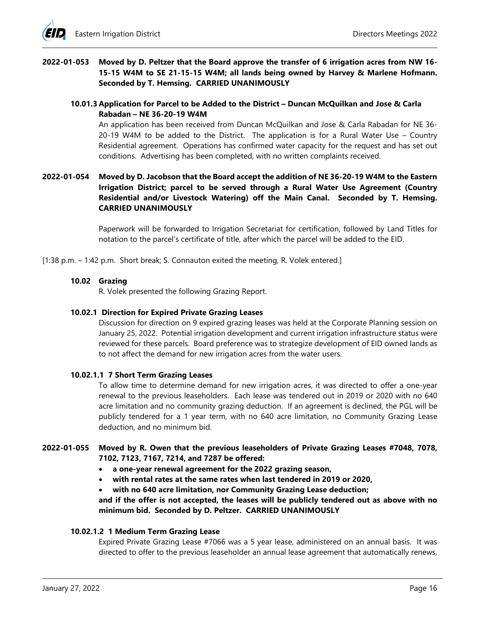

# **2022-01-053 Moved by D. Peltzer that the Board approve the transfer of 6 irrigation acres from NW 16- 15-15 W4M to SE 21-15-15 W4M; all lands being owned by Harvey & Marlene Hofmann. Seconded by T. Hemsing. CARRIED UNANIMOUSLY**

## **10.01.3 Application for Parcel to be Added to the District – Duncan McQuilkan and Jose & Carla Rabadan – NE 36-20-19 W4M**

An application has been received from Duncan McQuilkan and Jose & Carla Rabadan for NE 36- 20-19 W4M to be added to the District. The application is for a Rural Water Use – Country Residential agreement. Operations has confirmed water capacity for the request and has set out conditions. Advertising has been completed, with no written complaints received.

# **2022-01-054 Moved by D. Jacobson that the Board accept the addition of NE 36-20-19 W4M to the Eastern Irrigation District; parcel to be served through a Rural Water Use Agreement (Country Residential and/or Livestock Watering) off the Main Canal. Seconded by T. Hemsing. CARRIED UNANIMOUSLY**

Paperwork will be forwarded to Irrigation Secretariat for certification, followed by Land Titles for notation to the parcel's certificate of title, after which the parcel will be added to the EID.

[1:38 p.m. – 1:42 p.m. Short break; S. Connauton exited the meeting, R. Volek entered.]

#### **10.02 Grazing**

R. Volek presented the following Grazing Report.

#### **10.02.1 Direction for Expired Private Grazing Leases**

Discussion for direction on 9 expired grazing leases was held at the Corporate Planning session on January 25, 2022. Potential irrigation development and current irrigation infrastructure status were reviewed for these parcels. Board preference was to strategize development of EID owned lands as to not affect the demand for new irrigation acres from the water users.

#### **10.02.1.1 7 Short Term Grazing Leases**

To allow time to determine demand for new irrigation acres, it was directed to offer a one-year renewal to the previous leaseholders. Each lease was tendered out in 2019 or 2020 with no 640 acre limitation and no community grazing deduction. If an agreement is declined, the PGL will be publicly tendered for a 1 year term, with no 640 acre limitation, no Community Grazing Lease deduction, and no minimum bid.

# **2022-01-055 Moved by R. Owen that the previous leaseholders of Private Grazing Leases #7048, 7078, 7102, 7123, 7167, 7214, and 7287 be offered:**

- **a one-year renewal agreement for the 2022 grazing season,**
- **with rental rates at the same rates when last tendered in 2019 or 2020,**
- **with no 640 acre limitation, nor Community Grazing Lease deduction;**

# **and if the offer is not accepted, the leases will be publicly tendered out as above with no minimum bid. Seconded by D. Peltzer. CARRIED UNANIMOUSLY**

#### **10.02.1.2 1 Medium Term Grazing Lease**

Expired Private Grazing Lease #7066 was a 5 year lease, administered on an annual basis. It was directed to offer to the previous leaseholder an annual lease agreement that automatically renews,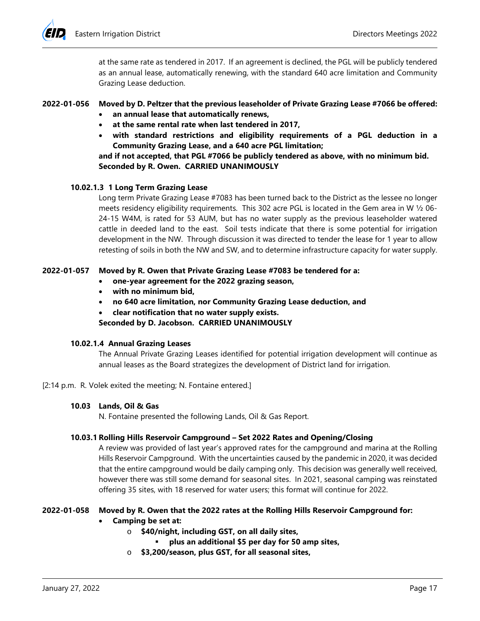at the same rate as tendered in 2017. If an agreement is declined, the PGL will be publicly tendered as an annual lease, automatically renewing, with the standard 640 acre limitation and Community Grazing Lease deduction.

# **2022-01-056 Moved by D. Peltzer that the previous leaseholder of Private Grazing Lease #7066 be offered:**

- **an annual lease that automatically renews,**
- **at the same rental rate when last tendered in 2017,**
- **with standard restrictions and eligibility requirements of a PGL deduction in a Community Grazing Lease, and a 640 acre PGL limitation;**

**and if not accepted, that PGL #7066 be publicly tendered as above, with no minimum bid. Seconded by R. Owen. CARRIED UNANIMOUSLY**

# **10.02.1.3 1 Long Term Grazing Lease**

Long term Private Grazing Lease #7083 has been turned back to the District as the lessee no longer meets residency eligibility requirements. This 302 acre PGL is located in the Gem area in W ½ 06- 24-15 W4M, is rated for 53 AUM, but has no water supply as the previous leaseholder watered cattle in deeded land to the east. Soil tests indicate that there is some potential for irrigation development in the NW. Through discussion it was directed to tender the lease for 1 year to allow retesting of soils in both the NW and SW, and to determine infrastructure capacity for water supply.

# **2022-01-057 Moved by R. Owen that Private Grazing Lease #7083 be tendered for a:**

- **one-year agreement for the 2022 grazing season,**
- **with no minimum bid,**
- **no 640 acre limitation, nor Community Grazing Lease deduction, and**
- **clear notification that no water supply exists.**

**Seconded by D. Jacobson. CARRIED UNANIMOUSLY**

## **10.02.1.4 Annual Grazing Leases**

The Annual Private Grazing Leases identified for potential irrigation development will continue as annual leases as the Board strategizes the development of District land for irrigation.

## [2:14 p.m. R. Volek exited the meeting; N. Fontaine entered.]

## **10.03 Lands, Oil & Gas**

N. Fontaine presented the following Lands, Oil & Gas Report.

## **10.03.1 Rolling Hills Reservoir Campground – Set 2022 Rates and Opening/Closing**

A review was provided of last year's approved rates for the campground and marina at the Rolling Hills Reservoir Campground. With the uncertainties caused by the pandemic in 2020, it was decided that the entire campground would be daily camping only. This decision was generally well received, however there was still some demand for seasonal sites. In 2021, seasonal camping was reinstated offering 35 sites, with 18 reserved for water users; this format will continue for 2022.

## **2022-01-058 Moved by R. Owen that the 2022 rates at the Rolling Hills Reservoir Campground for:**

- **Camping be set at:**
	- o **\$40/night, including GST, on all daily sites,**
		- **plus an additional \$5 per day for 50 amp sites,**
	- o **\$3,200/season, plus GST, for all seasonal sites,**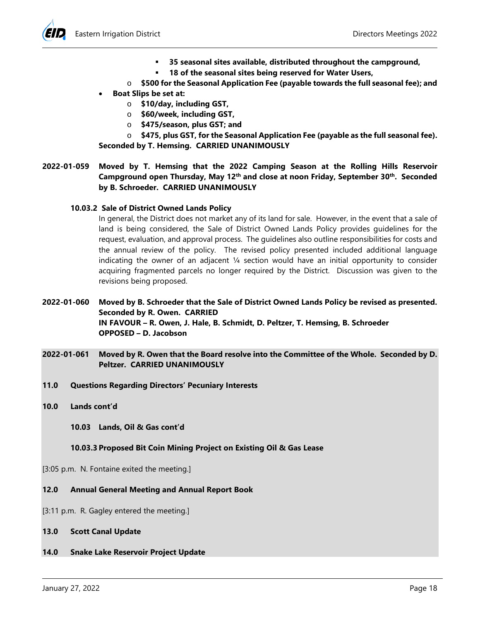

- **35 seasonal sites available, distributed throughout the campground,**
- **18 of the seasonal sites being reserved for Water Users,**
- o **\$500 for the Seasonal Application Fee (payable towards the full seasonal fee); and**
- **Boat Slips be set at:**
	- o **\$10/day, including GST,**
	- o **\$60/week, including GST,**
	- o **\$475/season, plus GST; and**

o **\$475, plus GST, for the Seasonal Application Fee (payable as the full seasonal fee). Seconded by T. Hemsing. CARRIED UNANIMOUSLY**

**2022-01-059 Moved by T. Hemsing that the 2022 Camping Season at the Rolling Hills Reservoir**  Campground open Thursday, May 12<sup>th</sup> and close at noon Friday, September 30<sup>th</sup>. Seconded **by B. Schroeder. CARRIED UNANIMOUSLY**

## **10.03.2 Sale of District Owned Lands Policy**

In general, the District does not market any of its land for sale. However, in the event that a sale of land is being considered, the Sale of District Owned Lands Policy provides guidelines for the request, evaluation, and approval process. The guidelines also outline responsibilities for costs and the annual review of the policy. The revised policy presented included additional language indicating the owner of an adjacent  $\frac{1}{4}$  section would have an initial opportunity to consider acquiring fragmented parcels no longer required by the District. Discussion was given to the revisions being proposed.

**2022-01-060 Moved by B. Schroeder that the Sale of District Owned Lands Policy be revised as presented. Seconded by R. Owen. CARRIED IN FAVOUR – R. Owen, J. Hale, B. Schmidt, D. Peltzer, T. Hemsing, B. Schroeder OPPOSED – D. Jacobson**

- **2022-01-061 Moved by R. Owen that the Board resolve into the Committee of the Whole. Seconded by D. Peltzer. CARRIED UNANIMOUSLY**
- **11.0 Questions Regarding Directors' Pecuniary Interests**
- **10.0 Lands cont'd**

**10.03 Lands, Oil & Gas cont'd**

## **10.03.3 Proposed Bit Coin Mining Project on Existing Oil & Gas Lease**

[3:05 p.m. N. Fontaine exited the meeting.]

**12.0 Annual General Meeting and Annual Report Book**

[3:11 p.m. R. Gagley entered the meeting.]

- **13.0 Scott Canal Update**
- **14.0 Snake Lake Reservoir Project Update**